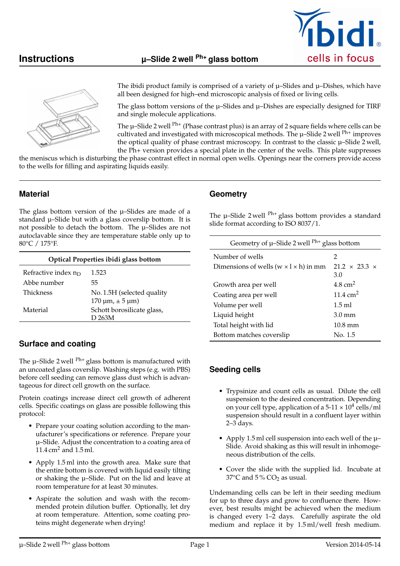



The ibidi product family is comprised of a variety of  $\mu$ –Slides and  $\mu$ –Dishes, which have all been designed for high–end microscopic analysis of fixed or living cells.

The glass bottom versions of the  $\mu$ -Slides and  $\mu$ -Dishes are especially designed for TIRF and single molecule applications.

The u-Slide 2 well <sup>Ph+</sup> (Phase contrast plus) is an array of 2 square fields where cells can be cultivated and investigated with microscopical methods. The  $\mu$ –Slide 2 well  $\rm{Ph+}$  improves the optical quality of phase contrast microscopy. In contrast to the classic  $\mu$ -Slide 2 well, the Ph+ version provides a special plate in the center of the wells. This plate suppresses

the meniscus which is disturbing the phase contrast effect in normal open wells. Openings near the corners provide access to the wells for filling and aspirating liquids easily.

## **Material**

The glass bottom version of the  $\mu$ -Slides are made of a standard µ–Slide but with a glass coverslip bottom. It is not possible to detach the bottom. The µ–Slides are not autoclavable since they are temperature stable only up to 80°C / 175°F.

| Optical Properties ibidi glass bottom |                                                                                                 |  |
|---------------------------------------|-------------------------------------------------------------------------------------------------|--|
| Refractive index $n_D$                | 1.523                                                                                           |  |
| Abbe number                           | 55.                                                                                             |  |
| <b>Thickness</b>                      | No. 1.5H (selected quality                                                                      |  |
| Material                              | $170 \,\mathrm{\upmu m}$ , $\pm 5 \,\mathrm{\upmu m}$ )<br>Schott borosilicate glass,<br>D 263M |  |

## **Surface and coating**

The  $\mu$ -Slide 2 well <sup>Ph+</sup> glass bottom is manufactured with an uncoated glass coverslip. Washing steps (e.g. with PBS) before cell seeding can remove glass dust which is advantageous for direct cell growth on the surface.

Protein coatings increase direct cell growth of adherent cells. Specific coatings on glass are possible following this protocol:

- Prepare your coating solution according to the manufacturer's specifications or reference. Prepare your µ–Slide. Adjust the concentration to a coating area of 11.4 cm<sup>2</sup> and 1.5 ml.
- Apply 1.5 ml into the growth area. Make sure that the entire bottom is covered with liquid easily tilting or shaking the  $\mu$ -Slide. Put on the lid and leave at room temperature for at least 30 minutes.
- Aspirate the solution and wash with the recommended protein dilution buffer. Optionally, let dry at room temperature. Attention, some coating proteins might degenerate when drying!

## **Geometry**

The  $\mu$ -Slide 2 well  $^{Ph+}$  glass bottom provides a standard slide format according to ISO 8037/1.

| Geometry of $\mu$ -Slide 2 well <sup>Ph+</sup> glass bottom |                                  |
|-------------------------------------------------------------|----------------------------------|
| Number of wells                                             | 2                                |
| Dimensions of wells ( $w \times l \times h$ ) in mm         | $21.2 \times 23.3 \times$<br>3.0 |
| Growth area per well                                        | 4.8 $cm2$                        |
| Coating area per well                                       | $11.4 \text{ cm}^2$              |
| Volume per well                                             | $1.5$ ml                         |
| Liquid height                                               | $3.0 \text{ mm}$                 |
| Total height with lid                                       | $10.8 \text{ mm}$                |
| Bottom matches coverslip                                    | No. 1.5                          |

## **Seeding cells**

- Trypsinize and count cells as usual. Dilute the cell suspension to the desired concentration. Depending on your cell type, application of a  $5-11 \times 10^4$  cells/ml suspension should result in a confluent layer within 2–3 days.
- Apply 1.5 ml cell suspension into each well of the µ– Slide. Avoid shaking as this will result in inhomogeneous distribution of the cells.
- Cover the slide with the supplied lid. Incubate at 37 $\degree$ C and 5 $\degree$  CO<sub>2</sub> as usual.

Undemanding cells can be left in their seeding medium for up to three days and grow to confluence there. However, best results might be achieved when the medium is changed every 1–2 days. Carefully aspirate the old medium and replace it by 1.5 ml/well fresh medium.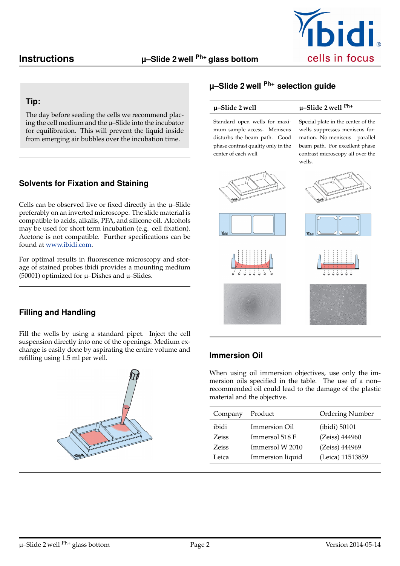

## **Tip:**

The day before seeding the cells we recommend placing the cell medium and the µ–Slide into the incubator for equilibration. This will prevent the liquid inside from emerging air bubbles over the incubation time.

# **Solvents for Fixation and Staining**

Cells can be observed live or fixed directly in the µ–Slide preferably on an inverted microscope. The slide material is compatible to acids, alkalis, PFA, and silicone oil. Alcohols may be used for short term incubation (e.g. cell fixation). Acetone is not compatible. Further specifications can be found at [www.ibidi.com.](http://ibidi.com/)

For optimal results in fluorescence microscopy and storage of stained probes ibidi provides a mounting medium (50001) optimized for  $\mu$ –Dishes and  $\mu$ –Slides.

## **Filling and Handling**

Fill the wells by using a standard pipet. Inject the cell suspension directly into one of the openings. Medium exchange is easily done by aspirating the entire volume and refilling using 1.5 ml per well.



# **µ–Slide 2 well Ph+ selection guide**

## **µ–Slide 2 well µ–Slide 2 well Ph+**

Standard open wells for maximum sample access. Meniscus disturbs the beam path. Good phase contrast quality only in the center of each well

Special plate in the center of the wells suppresses meniscus formation. No meniscus – parallel beam path. For excellent phase contrast microscopy all over the wells.











# **Immersion Oil**

When using oil immersion objectives, use only the immersion oils specified in the table. The use of a non– recommended oil could lead to the damage of the plastic material and the objective.

| Company | Product          | Ordering Number  |
|---------|------------------|------------------|
| ibidi   | Immersion Oil    | (ibidi) 50101    |
| Zeiss   | Immersol 518 F   | (Zeiss) 444960   |
| Zeiss   | Immersol W 2010  | (Zeiss) 444969   |
| Leica   | Immersion liquid | (Leica) 11513859 |
|         |                  |                  |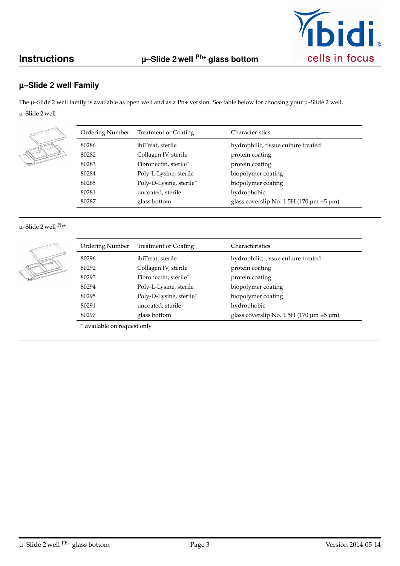

# **µ–Slide 2 well Family**

The  $\mu$ –Slide 2 well family is available as open well and as a Ph+ version. See table below for choosing your  $\mu$ –Slide 2 well. µ–Slide 2 well

| Ordering Number | <b>Treatment or Coating</b> | Characteristics                                        |
|-----------------|-----------------------------|--------------------------------------------------------|
| 80286           | ibiTreat, sterile           | hydrophilic, tissue culture treated                    |
| 80282           | Collagen IV, sterile        | protein coating                                        |
| 80283           | Fibronectin, sterile*       | protein coating                                        |
| 80284           | Poly-L-Lysine, sterile      | biopolymer coating                                     |
| 80285           | Poly-D-Lysine, sterile*     | biopolymer coating                                     |
| 80281           | uncoated, sterile           | hydrophobic                                            |
| 80287           | glass bottom                | glass coverslip No. 1.5H (170 $\mu$ m $\pm$ 5 $\mu$ m) |

### µ–Slide 2 well Ph+

| Ordering Number | <b>Treatment or Coating</b> | Characteristics                                        |
|-----------------|-----------------------------|--------------------------------------------------------|
| 80296           | ibiTreat, sterile           | hydrophilic, tissue culture treated                    |
| 80292           | Collagen IV, sterile        | protein coating                                        |
| 80293           | Fibronectin, sterile*       | protein coating                                        |
| 80294           | Poly-L-Lysine, sterile      | biopolymer coating                                     |
| 80295           | Poly-D-Lysine, sterile*     | biopolymer coating                                     |
| 80291           | uncoated, sterile           | hydrophobic                                            |
| 80297           | glass bottom                | glass coverslip No. 1.5H (170 $\mu$ m $\pm$ 5 $\mu$ m) |

<sup>∗</sup> available on request only